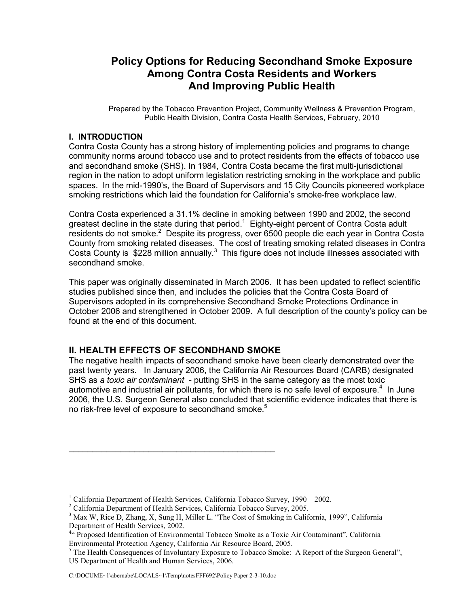# **Policy Options for Reducing Secondhand Smoke Exposure Among Contra Costa Residents and Workers And Improving Public Health**

Prepared by the Tobacco Prevention Project, Community Wellness & Prevention Program, Public Health Division, Contra Costa Health Services, February, 2010

## **I. INTRODUCTION**

Contra Costa County has a strong history of implementing policies and programs to change community norms around tobacco use and to protect residents from the effects of tobacco use and secondhand smoke (SHS). In 1984, Contra Costa became the first multi-jurisdictional region in the nation to adopt uniform legislation restricting smoking in the workplace and public spaces. In the mid-1990's, the Board of Supervisors and 15 City Councils pioneered workplace smoking restrictions which laid the foundation for California's smoke-free workplace law.

Contra Costa experienced a 31.1% decline in smoking between 1990 and 2002, the second greatest decline in the state during that period.<sup>1</sup> Eighty-eight percent of Contra Costa adult residents do not smoke.<sup>2</sup> Despite its progress, over 6500 people die each year in Contra Costa County from smoking related diseases. The cost of treating smoking related diseases in Contra Costa County is  $$228$  million annually.<sup>3</sup> This figure does not include illnesses associated with secondhand smoke.

This paper was originally disseminated in March 2006. It has been updated to reflect scientific studies published since then, and includes the policies that the Contra Costa Board of Supervisors adopted in its comprehensive Secondhand Smoke Protections Ordinance in October 2006 and strengthened in October 2009. A full description of the county's policy can be found at the end of this document.

## **II. HEALTH EFFECTS OF SECONDHAND SMOKE**

\_\_\_\_\_\_\_\_\_\_\_\_\_\_\_\_\_\_\_\_\_\_\_\_\_\_\_\_\_\_\_\_\_\_\_\_\_\_\_\_\_\_\_\_

The negative health impacts of secondhand smoke have been clearly demonstrated over the past twenty years. In January 2006, the California Air Resources Board (CARB) designated SHS as *a toxic air contaminant* - putting SHS in the same category as the most toxic automotive and industrial air pollutants, for which there is no safe level of exposure.<sup>4</sup> In June 2006, the U.S. Surgeon General also concluded that scientific evidence indicates that there is no risk-free level of exposure to secondhand smoke.<sup>5</sup>

<sup>&</sup>lt;sup>1</sup> California Department of Health Services, California Tobacco Survey, 1990 – 2002.

<sup>&</sup>lt;sup>2</sup> California Department of Health Services, California Tobacco Survey, 2005.

<sup>&</sup>lt;sup>3</sup> Max W, Rice D, Zhang, X, Sung H, Miller L. "The Cost of Smoking in California, 1999", California Department of Health Services, 2002.

<sup>&</sup>lt;sup>4"</sup> Proposed Identification of Environmental Tobacco Smoke as a Toxic Air Contaminant", California Environmental Protection Agency, California Air Resource Board, 2005.

<sup>&</sup>lt;sup>5</sup> The Health Consequences of Involuntary Exposure to Tobacco Smoke: A Report of the Surgeon General", US Department of Health and Human Services, 2006.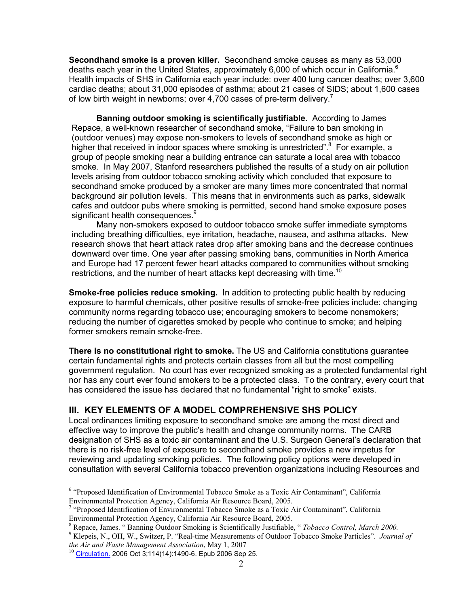**Secondhand smoke is a proven killer.** Secondhand smoke causes as many as 53,000 deaths each year in the United States, approximately 6,000 of which occur in California.<sup>6</sup> Health impacts of SHS in California each year include: over 400 lung cancer deaths; over 3,600 cardiac deaths; about 31,000 episodes of asthma; about 21 cases of SIDS; about 1,600 cases of low birth weight in newborns; over 4,700 cases of pre-term delivery.<sup>7</sup>

**Banning outdoor smoking is scientifically justifiable.** According to James Repace, a well-known researcher of secondhand smoke, "Failure to ban smoking in (outdoor venues) may expose non-smokers to levels of secondhand smoke as high or higher that received in indoor spaces where smoking is unrestricted".<sup>8</sup> For example, a group of people smoking near a building entrance can saturate a local area with tobacco smoke. In May 2007, Stanford researchers published the results of a study on air pollution levels arising from outdoor tobacco smoking activity which concluded that exposure to secondhand smoke produced by a smoker are many times more concentrated that normal background air pollution levels. This means that in environments such as parks, sidewalk cafes and outdoor pubs where smoking is permitted, second hand smoke exposure poses significant health consequences.<sup>9</sup>

Many non-smokers exposed to outdoor tobacco smoke suffer immediate symptoms including breathing difficulties, eye irritation, headache, nausea, and asthma attacks. New research shows that heart attack rates drop after smoking bans and the decrease continues downward over time. One year after passing smoking bans, communities in North America and Europe had 17 percent fewer heart attacks compared to communities without smoking restrictions, and the number of heart attacks kept decreasing with time.<sup>10</sup>

**Smoke-free policies reduce smoking.** In addition to protecting public health by reducing exposure to harmful chemicals, other positive results of smoke-free policies include: changing community norms regarding tobacco use; encouraging smokers to become nonsmokers; reducing the number of cigarettes smoked by people who continue to smoke; and helping former smokers remain smoke-free.

**There is no constitutional right to smoke.** The US and California constitutions guarantee certain fundamental rights and protects certain classes from all but the most compelling government regulation. No court has ever recognized smoking as a protected fundamental right nor has any court ever found smokers to be a protected class. To the contrary, every court that has considered the issue has declared that no fundamental "right to smoke" exists.

## **III. KEY ELEMENTS OF A MODEL COMPREHENSIVE SHS POLICY**

Local ordinances limiting exposure to secondhand smoke are among the most direct and effective way to improve the public's health and change community norms. The CARB designation of SHS as a toxic air contaminant and the U.S. Surgeon General's declaration that there is no risk-free level of exposure to secondhand smoke provides a new impetus for reviewing and updating smoking policies. The following policy options were developed in consultation with several California tobacco prevention organizations including Resources and

<sup>&</sup>lt;sup>6</sup> "Proposed Identification of Environmental Tobacco Smoke as a Toxic Air Contaminant", California Environmental Protection Agency, California Air Resource Board, 2005.

<sup>&</sup>lt;sup>7</sup> "Proposed Identification of Environmental Tobacco Smoke as a Toxic Air Contaminant", California Environmental Protection Agency, California Air Resource Board, 2005.

<sup>8</sup> Repace, James. " Banning Outdoor Smoking is Scientifically Justifiable, " *Tobacco Control, March 2000.*

<sup>9</sup> Klepeis, N., OH, W., Switzer, P. "Real-time Measurements of Outdoor Tobacco Smoke Particles". *Journal of the Air and Waste Management Association*, May 1, 2007

 $10$  Circulation. 2006 Oct 3;114(14):1490-6. Epub 2006 Sep 25.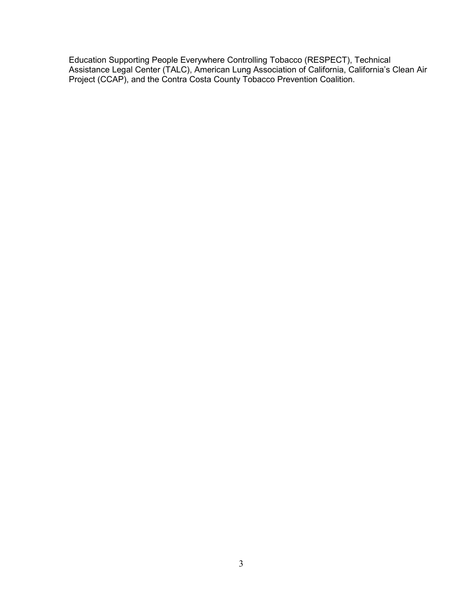Education Supporting People Everywhere Controlling Tobacco (RESPECT), Technical Assistance Legal Center (TALC), American Lung Association of California, California's Clean Air Project (CCAP), and the Contra Costa County Tobacco Prevention Coalition.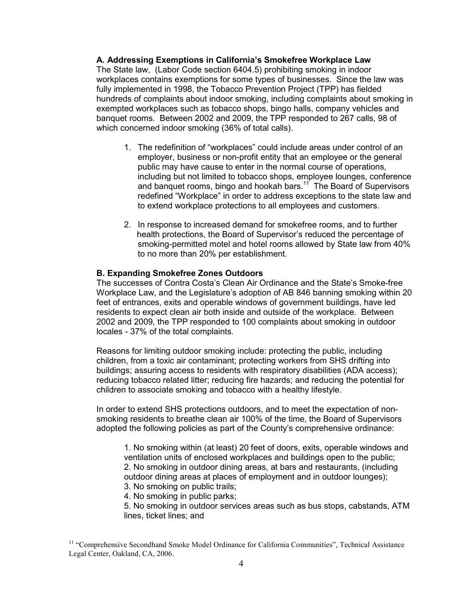#### **A. Addressing Exemptions in California's Smokefree Workplace Law**

The State law, (Labor Code section 6404.5) prohibiting smoking in indoor workplaces contains exemptions for some types of businesses. Since the law was fully implemented in 1998, the Tobacco Prevention Project (TPP) has fielded hundreds of complaints about indoor smoking, including complaints about smoking in exempted workplaces such as tobacco shops, bingo halls, company vehicles and banquet rooms. Between 2002 and 2009, the TPP responded to 267 calls, 98 of which concerned indoor smoking (36% of total calls).

- 1. The redefinition of "workplaces" could include areas under control of an employer, business or non-profit entity that an employee or the general public may have cause to enter in the normal course of operations, including but not limited to tobacco shops, employee lounges, conference and banquet rooms, bingo and hookah bars.<sup>11</sup> The Board of Supervisors redefined "Workplace" in order to address exceptions to the state law and to extend workplace protections to all employees and customers.
- 2. In response to increased demand for smokefree rooms, and to further health protections, the Board of Supervisor's reduced the percentage of smoking-permitted motel and hotel rooms allowed by State law from 40% to no more than 20% per establishment.

#### **B. Expanding Smokefree Zones Outdoors**

The successes of Contra Costa's Clean Air Ordinance and the State's Smoke-free Workplace Law, and the Legislature's adoption of AB 846 banning smoking within 20 feet of entrances, exits and operable windows of government buildings, have led residents to expect clean air both inside and outside of the workplace. Between 2002 and 2009, the TPP responded to 100 complaints about smoking in outdoor locales - 37% of the total complaints.

Reasons for limiting outdoor smoking include: protecting the public, including children, from a toxic air contaminant; protecting workers from SHS drifting into buildings; assuring access to residents with respiratory disabilities (ADA access); reducing tobacco related litter; reducing fire hazards; and reducing the potential for children to associate smoking and tobacco with a healthy lifestyle.

In order to extend SHS protections outdoors, and to meet the expectation of nonsmoking residents to breathe clean air 100% of the time, the Board of Supervisors adopted the following policies as part of the County's comprehensive ordinance:

1. No smoking within (at least) 20 feet of doors, exits, operable windows and ventilation units of enclosed workplaces and buildings open to the public; 2. No smoking in outdoor dining areas, at bars and restaurants, (including outdoor dining areas at places of employment and in outdoor lounges);

3. No smoking on public trails;

4. No smoking in public parks;

5. No smoking in outdoor services areas such as bus stops, cabstands, ATM lines, ticket lines; and

<sup>&</sup>lt;sup>11</sup> "Comprehensive Secondhand Smoke Model Ordinance for California Communities", Technical Assistance Legal Center, Oakland, CA, 2006.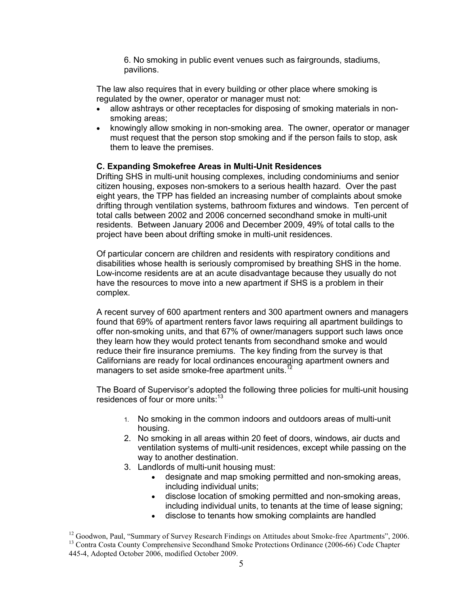6. No smoking in public event venues such as fairgrounds, stadiums, pavilions.

The law also requires that in every building or other place where smoking is regulated by the owner, operator or manager must not:

- allow ashtrays or other receptacles for disposing of smoking materials in nonsmoking areas;
- knowingly allow smoking in non-smoking area. The owner, operator or manager must request that the person stop smoking and if the person fails to stop, ask them to leave the premises.

### **C. Expanding Smokefree Areas in Multi-Unit Residences**

Drifting SHS in multi-unit housing complexes, including condominiums and senior citizen housing, exposes non-smokers to a serious health hazard. Over the past eight years, the TPP has fielded an increasing number of complaints about smoke drifting through ventilation systems, bathroom fixtures and windows. Ten percent of total calls between 2002 and 2006 concerned secondhand smoke in multi-unit residents. Between January 2006 and December 2009, 49% of total calls to the project have been about drifting smoke in multi-unit residences.

Of particular concern are children and residents with respiratory conditions and disabilities whose health is seriously compromised by breathing SHS in the home. Low-income residents are at an acute disadvantage because they usually do not have the resources to move into a new apartment if SHS is a problem in their complex.

A recent survey of 600 apartment renters and 300 apartment owners and managers found that 69% of apartment renters favor laws requiring all apartment buildings to offer non-smoking units, and that 67% of owner/managers support such laws once they learn how they would protect tenants from secondhand smoke and would reduce their fire insurance premiums. The key finding from the survey is that Californians are ready for local ordinances encouraging apartment owners and managers to set aside smoke-free apartment units.<sup>12</sup>

The Board of Supervisor's adopted the following three policies for multi-unit housing residences of four or more units:<sup>13</sup>

- 1. No smoking in the common indoors and outdoors areas of multi-unit housing.
- 2. No smoking in all areas within 20 feet of doors, windows, air ducts and ventilation systems of multi-unit residences, except while passing on the way to another destination.
- 3. Landlords of multi-unit housing must:
	- designate and map smoking permitted and non-smoking areas, including individual units;
	- disclose location of smoking permitted and non-smoking areas, including individual units, to tenants at the time of lease signing;
	- disclose to tenants how smoking complaints are handled

<sup>&</sup>lt;sup>12</sup> Goodwon, Paul, "Summary of Survey Research Findings on Attitudes about Smoke-free Apartments", 2006. <sup>13</sup> Contra Costa County Comprehensive Secondhand Smoke Protections Ordinance (2006-66) Code Chapter 445-4, Adopted October 2006, modified October 2009.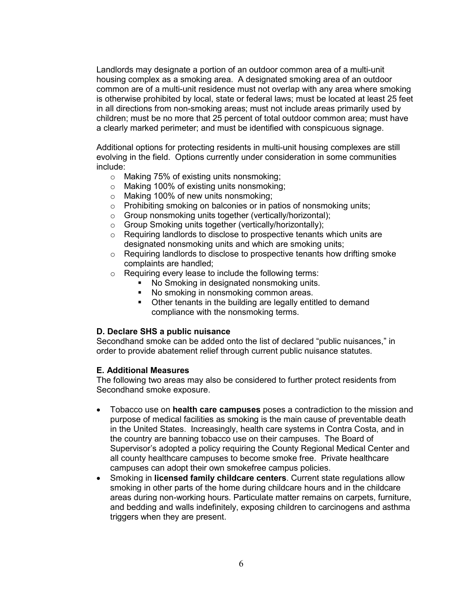Landlords may designate a portion of an outdoor common area of a multi-unit housing complex as a smoking area. A designated smoking area of an outdoor common are of a multi-unit residence must not overlap with any area where smoking is otherwise prohibited by local, state or federal laws; must be located at least 25 feet in all directions from non-smoking areas; must not include areas primarily used by children; must be no more that 25 percent of total outdoor common area; must have a clearly marked perimeter; and must be identified with conspicuous signage.

Additional options for protecting residents in multi-unit housing complexes are still evolving in the field. Options currently under consideration in some communities include:

- o Making 75% of existing units nonsmoking;
- o Making 100% of existing units nonsmoking;
- o Making 100% of new units nonsmoking;
- o Prohibiting smoking on balconies or in patios of nonsmoking units;
- o Group nonsmoking units together (vertically/horizontal);
- o Group Smoking units together (vertically/horizontally);
- o Requiring landlords to disclose to prospective tenants which units are designated nonsmoking units and which are smoking units;
- $\circ$  Requiring landlords to disclose to prospective tenants how drifting smoke complaints are handled;
- o Requiring every lease to include the following terms:
	- No Smoking in designated nonsmoking units.
	- No smoking in nonsmoking common areas.
	- Other tenants in the building are legally entitled to demand compliance with the nonsmoking terms.

#### **D. Declare SHS a public nuisance**

Secondhand smoke can be added onto the list of declared "public nuisances," in order to provide abatement relief through current public nuisance statutes.

#### **E. Additional Measures**

The following two areas may also be considered to further protect residents from Secondhand smoke exposure.

- Tobacco use on **health care campuses** poses a contradiction to the mission and purpose of medical facilities as smoking is the main cause of preventable death in the United States. Increasingly, health care systems in Contra Costa, and in the country are banning tobacco use on their campuses. The Board of Supervisor's adopted a policy requiring the County Regional Medical Center and all county healthcare campuses to become smoke free. Private healthcare campuses can adopt their own smokefree campus policies.
- Smoking in **licensed family childcare centers**. Current state regulations allow smoking in other parts of the home during childcare hours and in the childcare areas during non-working hours. Particulate matter remains on carpets, furniture, and bedding and walls indefinitely, exposing children to carcinogens and asthma triggers when they are present.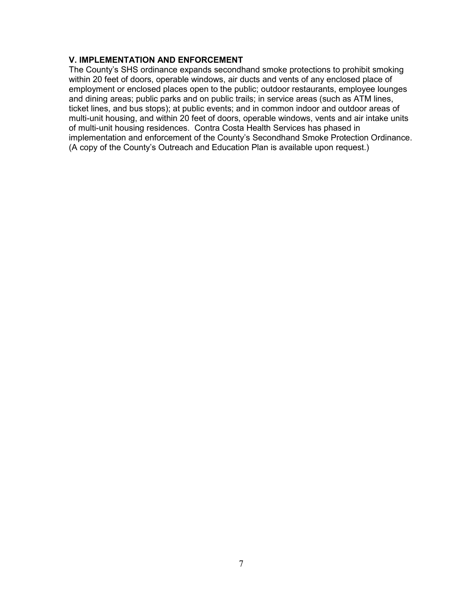## **V. IMPLEMENTATION AND ENFORCEMENT**

The County's SHS ordinance expands secondhand smoke protections to prohibit smoking within 20 feet of doors, operable windows, air ducts and vents of any enclosed place of employment or enclosed places open to the public; outdoor restaurants, employee lounges and dining areas; public parks and on public trails; in service areas (such as ATM lines, ticket lines, and bus stops); at public events; and in common indoor and outdoor areas of multi-unit housing, and within 20 feet of doors, operable windows, vents and air intake units of multi-unit housing residences. Contra Costa Health Services has phased in implementation and enforcement of the County's Secondhand Smoke Protection Ordinance. (A copy of the County's Outreach and Education Plan is available upon request.)